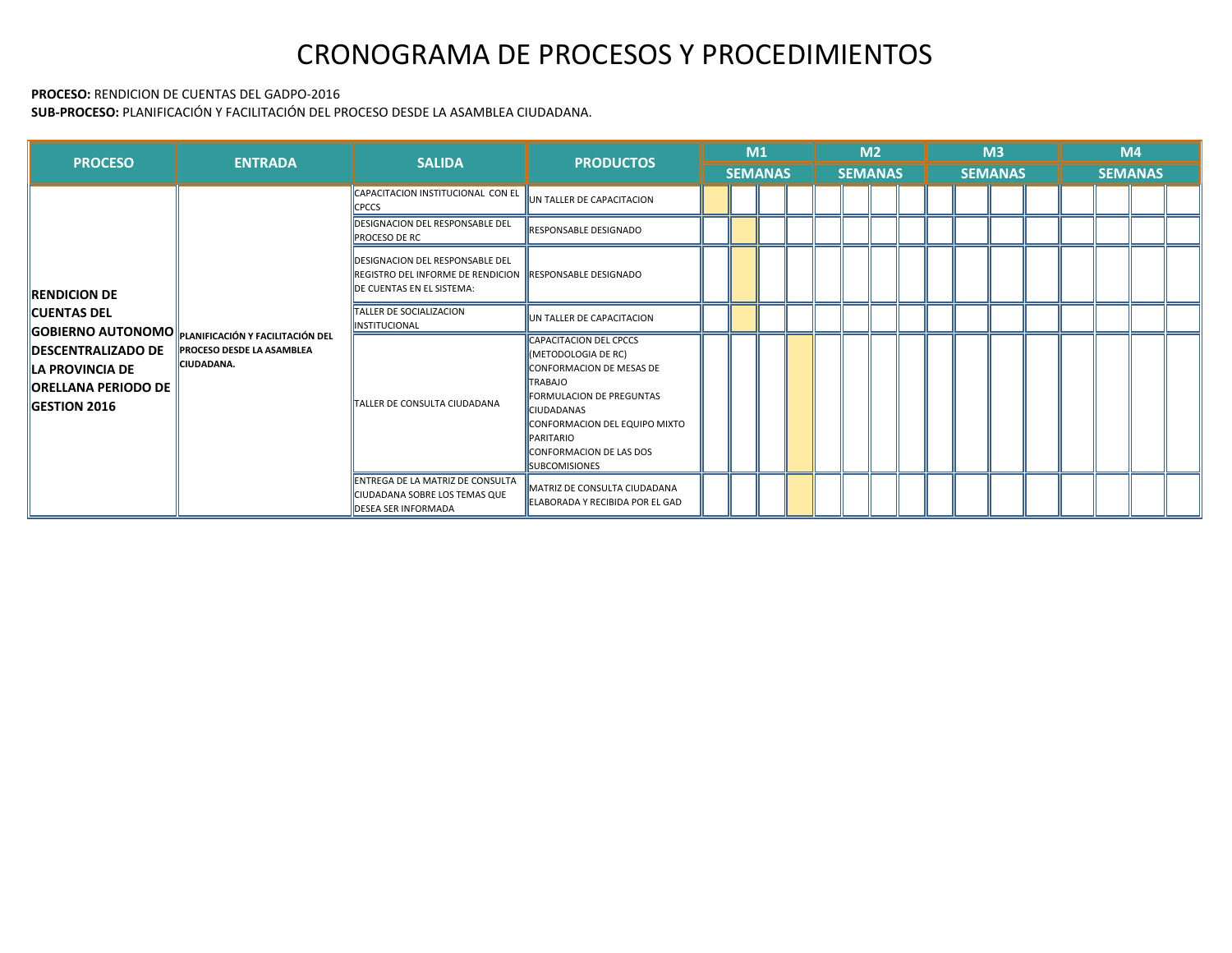#### **PROCESO:** RENDICION DE CUENTAS DEL GADPO-2016

**SUB-PROCESO:** PLANIFICACIÓN Y FACILITACIÓN DEL PROCESO DESDE LA ASAMBLEA CIUDADANA.

| <b>PROCESO</b>                                                                                                                                                                                                       | <b>ENTRADA</b>                                 | <b>SALIDA</b>                                                                                                                          | <b>PRODUCTOS</b>                                                                                                                                                                                                                                                                  | M1 |                |  |  | M <sub>2</sub> |  |  |                |                | M <sub>3</sub> |                |  | M4 |  |  |  |  |
|----------------------------------------------------------------------------------------------------------------------------------------------------------------------------------------------------------------------|------------------------------------------------|----------------------------------------------------------------------------------------------------------------------------------------|-----------------------------------------------------------------------------------------------------------------------------------------------------------------------------------------------------------------------------------------------------------------------------------|----|----------------|--|--|----------------|--|--|----------------|----------------|----------------|----------------|--|----|--|--|--|--|
|                                                                                                                                                                                                                      |                                                |                                                                                                                                        |                                                                                                                                                                                                                                                                                   |    | <b>SEMANAS</b> |  |  |                |  |  | <b>SEMANAS</b> |                |                |                |  |    |  |  |  |  |
| <b>RENDICION DE</b><br><b>CUENTAS DEL</b><br><b>GOBIERNO AUTONOMO P</b> PLANIFICACIÓN Y FACILITACIÓN DEL<br><b>DESCENTRALIZADO DE</b><br><b>LA PROVINCIA DE</b><br><b>ORELLANA PERIODO DE</b><br><b>GESTION 2016</b> |                                                | CAPACITACION INSTITUCIONAL CON EL<br><b>CPCCS</b>                                                                                      | UN TALLER DE CAPACITACION                                                                                                                                                                                                                                                         |    |                |  |  |                |  |  |                |                |                |                |  |    |  |  |  |  |
|                                                                                                                                                                                                                      |                                                | <b>DESIGNACION DEL RESPONSABLE DEL</b><br><b>PROCESO DE RC</b>                                                                         | <b>IRESPONSABLE DESIGNADO</b>                                                                                                                                                                                                                                                     |    |                |  |  |                |  |  |                |                |                | <b>SEMANAS</b> |  |    |  |  |  |  |
|                                                                                                                                                                                                                      |                                                | <b>DESIGNACION DEL RESPONSABLE DEL</b><br><b>REGISTRO DEL INFORME DE RENDICION HRESPONSABLE DESIGNADO</b><br>DE CUENTAS EN EL SISTEMA: |                                                                                                                                                                                                                                                                                   |    |                |  |  |                |  |  |                |                |                |                |  |    |  |  |  |  |
|                                                                                                                                                                                                                      |                                                | TALLER DE SOCIALIZACION<br><b>INSTITUCIONAL</b>                                                                                        | UN TALLER DE CAPACITACION                                                                                                                                                                                                                                                         |    |                |  |  |                |  |  |                | <b>SEMANAS</b> |                |                |  |    |  |  |  |  |
|                                                                                                                                                                                                                      | <b>PROCESO DESDE LA ASAMBLEA</b><br>CIUDADANA. | TALLER DE CONSULTA CIUDADANA                                                                                                           | <b>CAPACITACION DEL CPCCS</b><br>(METODOLOGIA DE RC)<br><b>CONFORMACION DE MESAS DE</b><br><b>TRABAJO</b><br><b>FORMULACION DE PREGUNTAS</b><br><b>CIUDADANAS</b><br>CONFORMACION DEL EQUIPO MIXTO<br><b>PARITARIO</b><br><b>CONFORMACION DE LAS DOS</b><br><b>ISUBCOMISIONES</b> |    |                |  |  |                |  |  |                |                |                |                |  |    |  |  |  |  |
|                                                                                                                                                                                                                      |                                                | ENTREGA DE LA MATRIZ DE CONSULTA<br>CIUDADANA SOBRE LOS TEMAS QUE<br><b>DESEA SER INFORMADA</b>                                        | MATRIZ DE CONSULTA CIUDADANA<br><b>LELABORADA Y RECIBIDA POR EL GAD</b>                                                                                                                                                                                                           |    |                |  |  |                |  |  |                |                |                |                |  |    |  |  |  |  |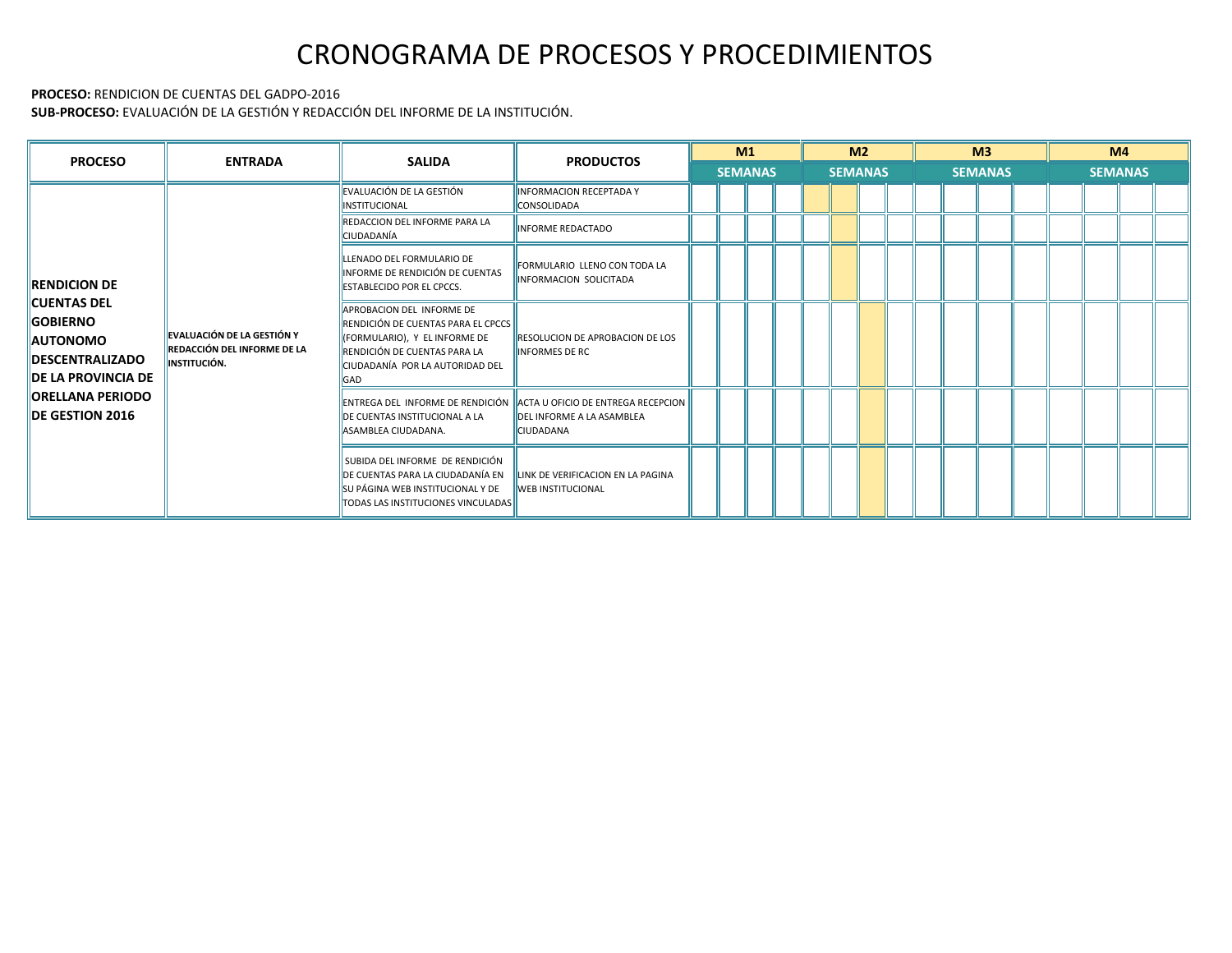#### **PROCESO:** RENDICION DE CUENTAS DEL GADPO-2016

**SUB-PROCESO:** EVALUACIÓN DE LA GESTIÓN Y REDACCIÓN DEL INFORME DE LA INSTITUCIÓN.

| <b>PROCESO</b>                                                                                                                                                                                 | <b>ENTRADA</b>                                                                          | <b>SALIDA</b>                                                                                                                                                              | <b>PRODUCTOS</b>                                                                                                    | M1             | M <sub>2</sub> | M <sup>3</sup> | M4             |  |  |
|------------------------------------------------------------------------------------------------------------------------------------------------------------------------------------------------|-----------------------------------------------------------------------------------------|----------------------------------------------------------------------------------------------------------------------------------------------------------------------------|---------------------------------------------------------------------------------------------------------------------|----------------|----------------|----------------|----------------|--|--|
|                                                                                                                                                                                                |                                                                                         |                                                                                                                                                                            |                                                                                                                     | <b>SEMANAS</b> | <b>SEMANAS</b> | <b>SEMANAS</b> | <b>SEMANAS</b> |  |  |
|                                                                                                                                                                                                |                                                                                         | EVALUACIÓN DE LA GESTIÓN<br><b>INSTITUCIONAL</b>                                                                                                                           | <b>INFORMACION RECEPTADA Y</b><br><b>CONSOLIDADA</b>                                                                |                |                |                |                |  |  |
|                                                                                                                                                                                                |                                                                                         | REDACCION DEL INFORME PARA LA<br>CIUDADANÍA                                                                                                                                | <b>INFORME REDACTADO</b>                                                                                            |                |                |                |                |  |  |
| <b>RENDICION DE</b><br><b>CUENTAS DEL</b><br><b>GOBIERNO</b><br><b>AUTONOMO</b><br><b>IDESCENTRALIZADO</b><br><b>DE LA PROVINCIA DE</b><br><b>IORELLANA PERIODO</b><br><b>IDE GESTION 2016</b> |                                                                                         | LLENADO DEL FORMULARIO DE<br>INFORME DE RENDICIÓN DE CUENTAS<br><b>ESTABLECIDO POR EL CPCCS.</b>                                                                           | FORMULARIO LLENO CON TODA LA<br><b>INFORMACION SOLICITADA</b>                                                       |                |                |                |                |  |  |
|                                                                                                                                                                                                | EVALUACIÓN DE LA GESTIÓN Y<br><b>REDACCIÓN DEL INFORME DE LA</b><br><b>INSTITUCIÓN.</b> | APROBACION DEL INFORME DE<br>RENDICIÓN DE CUENTAS PARA EL CPCCS<br>(FORMULARIO), Y EL INFORME DE<br>RENDICIÓN DE CUENTAS PARA LA<br>CIUDADANÍA POR LA AUTORIDAD DEL<br>GAD | <b>RESOLUCION DE APROBACION DE LOS</b><br><b>INFORMES DE RC</b>                                                     |                |                |                |                |  |  |
|                                                                                                                                                                                                |                                                                                         | <b>IDE CUENTAS INSTITUCIONAL A LA</b><br>ASAMBLEA CIUDADANA.                                                                                                               | ENTREGA DEL INFORME DE RENDICIÓN ACTA U OFICIO DE ENTREGA RECEPCION<br><b>DELINFORME A LA ASAMBLEA</b><br>CIUDADANA |                |                |                |                |  |  |
|                                                                                                                                                                                                |                                                                                         | SUBIDA DEL INFORME DE RENDICIÓN<br>DE CUENTAS PARA LA CIUDADANÍA EN<br>SU PÁGINA WEB INSTITUCIONAL Y DE<br>TODAS LAS INSTITUCIONES VINCULADAS                              | LINK DE VERIFICACION EN LA PAGINA<br><b>WEB INSTITUCIONAL</b>                                                       |                |                |                |                |  |  |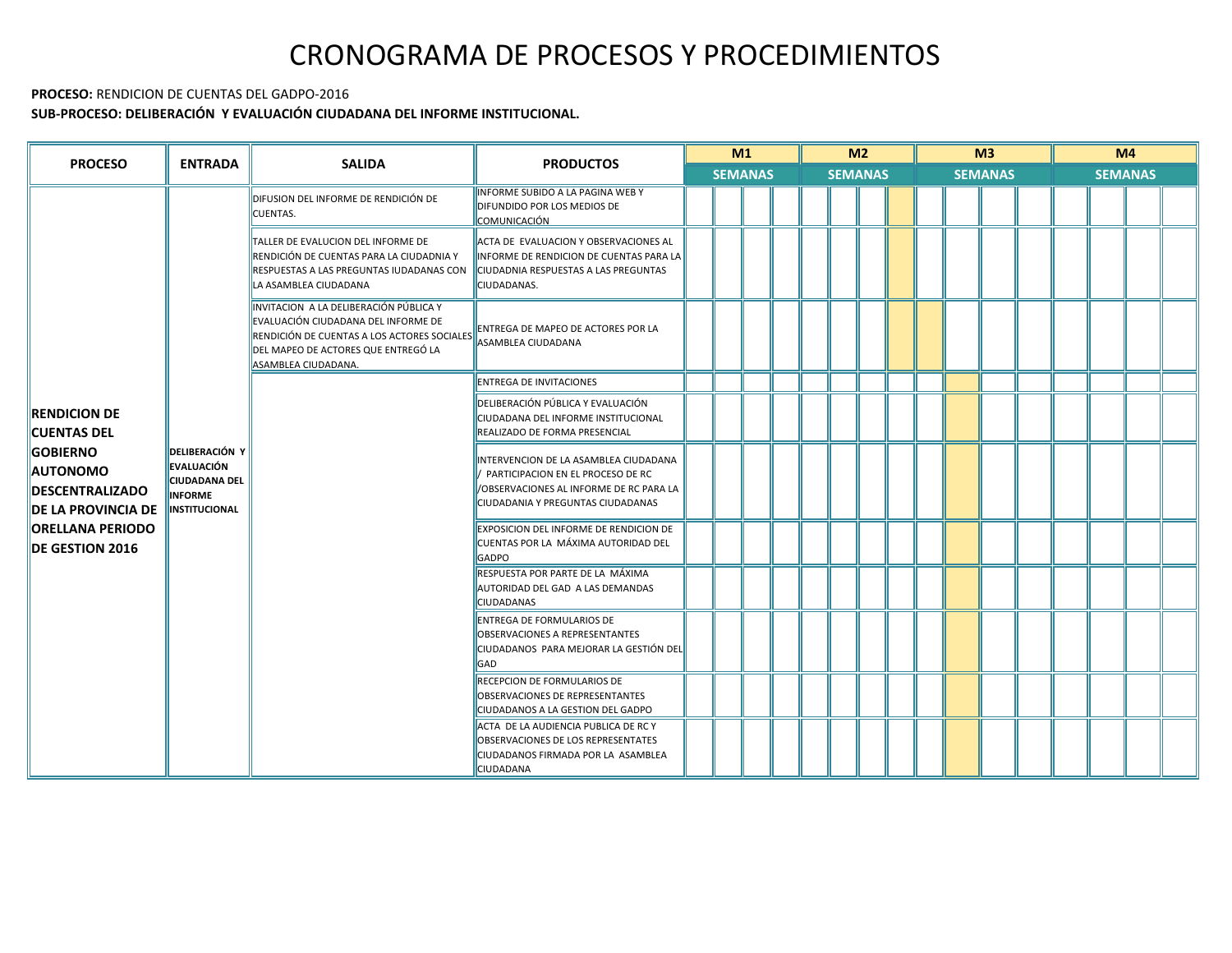#### **PROCESO:** RENDICION DE CUENTAS DEL GADPO-2016

### **SUB-PROCESO: DELIBERACIÓN Y EVALUACIÓN CIUDADANA DEL INFORME INSTITUCIONAL.**

| <b>PROCESO</b>                                                                                                                                                                                | <b>ENTRADA</b>                                                                                 | <b>SALIDA</b>                                                                                                                                                                              | <b>PRODUCTOS</b>                                                                                                                                           | M1             |  |  | M <sub>2</sub><br><b>SEMANAS</b> |  |  |  | M <sup>3</sup><br><b>SEMANAS</b> |  |  |  | M <sub>4</sub><br><b>SEMANAS</b> |  |  |  |  |
|-----------------------------------------------------------------------------------------------------------------------------------------------------------------------------------------------|------------------------------------------------------------------------------------------------|--------------------------------------------------------------------------------------------------------------------------------------------------------------------------------------------|------------------------------------------------------------------------------------------------------------------------------------------------------------|----------------|--|--|----------------------------------|--|--|--|----------------------------------|--|--|--|----------------------------------|--|--|--|--|
|                                                                                                                                                                                               |                                                                                                |                                                                                                                                                                                            |                                                                                                                                                            | <b>SEMANAS</b> |  |  |                                  |  |  |  |                                  |  |  |  |                                  |  |  |  |  |
|                                                                                                                                                                                               |                                                                                                | DIFUSION DEL INFORME DE RENDICIÓN DE<br><b>CUENTAS.</b>                                                                                                                                    | <b>INFORME SUBIDO A LA PAGINA WEB Y</b><br>DIFUNDIDO POR LOS MEDIOS DE<br><b>COMUNICACIÓN</b>                                                              |                |  |  |                                  |  |  |  |                                  |  |  |  |                                  |  |  |  |  |
|                                                                                                                                                                                               |                                                                                                | TALLER DE EVALUCION DEL INFORME DE<br>RENDICIÓN DE CUENTAS PARA LA CIUDADNIA Y<br>RESPUESTAS A LAS PREGUNTAS IUDADANAS CON<br>LA ASAMBLEA CIUDADANA                                        | ACTA DE EVALUACION Y OBSERVACIONES AL<br>INFORME DE RENDICION DE CUENTAS PARA LA<br>CIUDADNIA RESPUESTAS A LAS PREGUNTAS<br>CIUDADANAS.                    |                |  |  |                                  |  |  |  |                                  |  |  |  |                                  |  |  |  |  |
|                                                                                                                                                                                               |                                                                                                | INVITACION A LA DELIBERACIÓN PÚBLICA Y<br>EVALUACIÓN CIUDADANA DEL INFORME DE<br>RENDICIÓN DE CUENTAS A LOS ACTORES SOCIALES<br>DEL MAPEO DE ACTORES QUE ENTREGÓ LA<br>ASAMBLEA CIUDADANA. | ENTREGA DE MAPEO DE ACTORES POR LA<br>ASAMBLEA CIUDADANA                                                                                                   |                |  |  |                                  |  |  |  |                                  |  |  |  |                                  |  |  |  |  |
|                                                                                                                                                                                               |                                                                                                |                                                                                                                                                                                            | <b>ENTREGA DE INVITACIONES</b>                                                                                                                             |                |  |  |                                  |  |  |  |                                  |  |  |  |                                  |  |  |  |  |
| <b>RENDICION DE</b><br><b>CUENTAS DEL</b><br><b>GOBIERNO</b><br><b>AUTONOMO</b><br><b>DESCENTRALIZADO</b><br><b>IDE LA PROVINCIA DE</b><br><b>ORELLANA PERIODO</b><br><b>IDE GESTION 2016</b> | <b>DELIBERACIÓN Y</b><br>EVALUACIÓN<br><b>CIUDADANA DEL</b><br><b>INFORME</b><br>INSTITUCIONAL |                                                                                                                                                                                            | DELIBERACIÓN PÚBLICA Y EVALUACIÓN<br>CIUDADANA DEL INFORME INSTITUCIONAL<br>REALIZADO DE FORMA PRESENCIAL                                                  |                |  |  |                                  |  |  |  |                                  |  |  |  |                                  |  |  |  |  |
|                                                                                                                                                                                               |                                                                                                |                                                                                                                                                                                            | INTERVENCION DE LA ASAMBLEA CIUDADANA<br>PARTICIPACION EN EL PROCESO DE RC<br>/OBSERVACIONES AL INFORME DE RC PARA LA<br>CIUDADANIA Y PREGUNTAS CIUDADANAS |                |  |  |                                  |  |  |  |                                  |  |  |  |                                  |  |  |  |  |
|                                                                                                                                                                                               |                                                                                                |                                                                                                                                                                                            | <b>EXPOSICION DEL INFORME DE RENDICION DE</b><br>CUENTAS POR LA MÁXIMA AUTORIDAD DEL<br>GADPO                                                              |                |  |  |                                  |  |  |  |                                  |  |  |  |                                  |  |  |  |  |
|                                                                                                                                                                                               |                                                                                                |                                                                                                                                                                                            | RESPUESTA POR PARTE DE LA MÁXIMA<br>AUTORIDAD DEL GAD A LAS DEMANDAS<br>CIUDADANAS                                                                         |                |  |  |                                  |  |  |  |                                  |  |  |  |                                  |  |  |  |  |
|                                                                                                                                                                                               |                                                                                                |                                                                                                                                                                                            | <b>ENTREGA DE FORMULARIOS DE</b><br>OBSERVACIONES A REPRESENTANTES<br>CIUDADANOS PARA MEJORAR LA GESTIÓN DEL<br><b>GAD</b>                                 |                |  |  |                                  |  |  |  |                                  |  |  |  |                                  |  |  |  |  |
|                                                                                                                                                                                               |                                                                                                |                                                                                                                                                                                            | RECEPCION DE FORMULARIOS DE<br>OBSERVACIONES DE REPRESENTANTES<br>CIUDADANOS A LA GESTION DEL GADPO                                                        |                |  |  |                                  |  |  |  |                                  |  |  |  |                                  |  |  |  |  |
|                                                                                                                                                                                               |                                                                                                |                                                                                                                                                                                            | ACTA DE LA AUDIENCIA PUBLICA DE RC Y<br>OBSERVACIONES DE LOS REPRESENTATES<br>CIUDADANOS FIRMADA POR LA ASAMBLEA<br><b>CIUDADANA</b>                       |                |  |  |                                  |  |  |  |                                  |  |  |  |                                  |  |  |  |  |